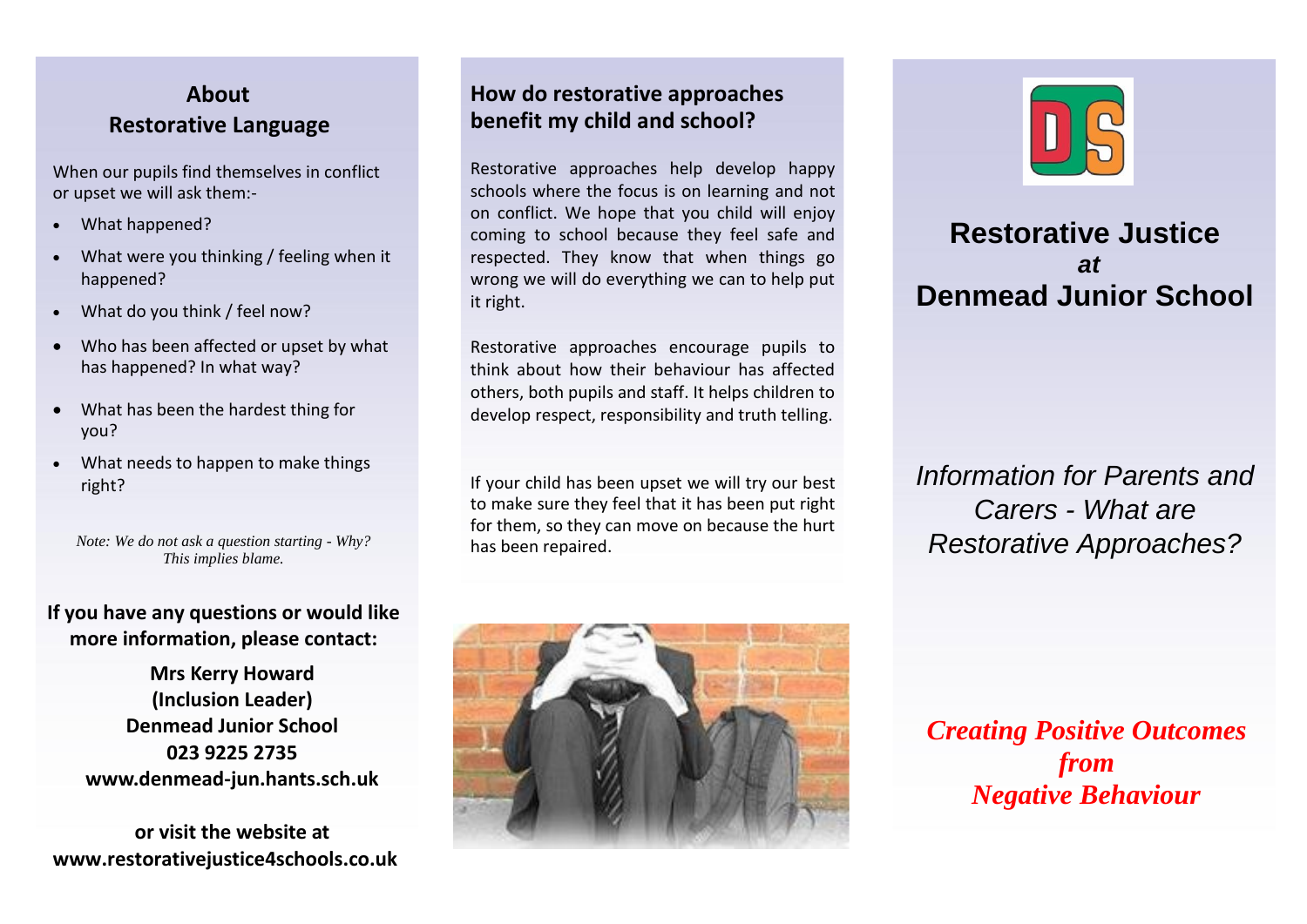# **About Restorative Language**

When our pupils find themselves in conflict or upset we will ask them:-

- What happened?
- What were you thinking / feeling when it happened?
- What do you think / feel now?
- Who has been affected or upset by what has happened? In what way?
- What has been the hardest thing for you?
- What needs to happen to make things right?

*Note: We do not ask a question starting - Why? This implies blame.*

#### **If you have any questions or would like more information, please contact:**

**Mrs Kerry Howard (Inclusion Leader) Denmead Junior School 023 9225 2735 www.denmead-jun.hants.sch.uk**

**or visit the website at www.restorativejustice4schools.co.uk**

## **How do restorative approaches benefit my child and school?**

Restorative approaches help develop happy schools where the focus is on learning and not on conflict. We hope that you child will enjoy coming to school because they feel safe and respected. They know that when things go wrong we will do everything we can to help put it right.

Restorative approaches encourage pupils to think about how their behaviour has affected others, both pupils and staff. It helps children to develop respect, responsibility and truth telling.

If your child has been upset we will try our best to make sure they feel that it has been put right for them, so they can move on because the hurt has been repaired.





# **Restorative Justice** *at* **Denmead Junior School**

*Information for Parents and Carers - What are Restorative Approaches?*

*Creating Positive Outcomes from Negative Behaviour*